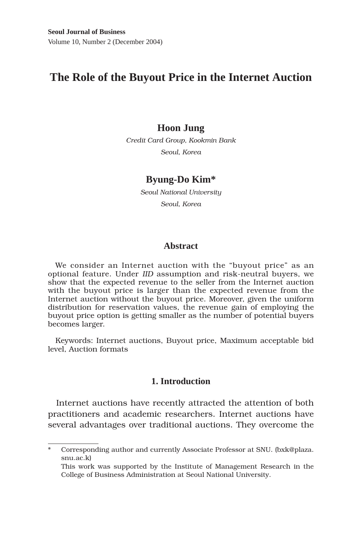# **The Role of the Buyout Price in the Internet Auction**

## **Hoon Jung**

*Credit Card Group, Kookmin Bank Seoul, Korea*

## **Byung-Do Kim\***

*Seoul National University Seoul, Korea*

## **Abstract**

We consider an Internet auction with the "buyout price" as an optional feature. Under *IID* assumption and risk-neutral buyers, we show that the expected revenue to the seller from the Internet auction with the buyout price is larger than the expected revenue from the Internet auction without the buyout price. Moreover, given the uniform distribution for reservation values, the revenue gain of employing the buyout price option is getting smaller as the number of potential buyers becomes larger.

Keywords: Internet auctions, Buyout price, Maximum acceptable bid level, Auction formats

## **1. Introduction**

Internet auctions have recently attracted the attention of both practitioners and academic researchers. Internet auctions have several advantages over traditional auctions. They overcome the

Corresponding author and currently Associate Professor at SNU. (bxk@plaza. snu.ac.k)

This work was supported by the Institute of Management Research in the College of Business Administration at Seoul National University.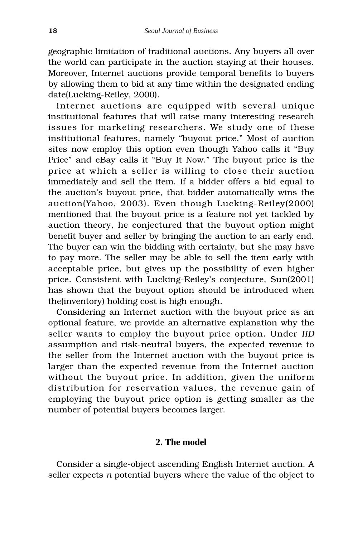geographic limitation of traditional auctions. Any buyers all over the world can participate in the auction staying at their houses. Moreover, Internet auctions provide temporal benefits to buyers by allowing them to bid at any time within the designated ending date(Lucking-Reiley, 2000).

Internet auctions are equipped with several unique institutional features that will raise many interesting research issues for marketing researchers. We study one of these institutional features, namely "buyout price." Most of auction sites now employ this option even though Yahoo calls it "Buy Price" and eBay calls it "Buy It Now." The buyout price is the price at which a seller is willing to close their auction immediately and sell the item. If a bidder offers a bid equal to the auction's buyout price, that bidder automatically wins the auction(Yahoo, 2003). Even though Lucking-Reiley(2000) mentioned that the buyout price is a feature not yet tackled by auction theory, he conjectured that the buyout option might benefit buyer and seller by bringing the auction to an early end. The buyer can win the bidding with certainty, but she may have to pay more. The seller may be able to sell the item early with acceptable price, but gives up the possibility of even higher price. Consistent with Lucking-Reiley's conjecture, Sun(2001) has shown that the buyout option should be introduced when the(inventory) holding cost is high enough.

Considering an Internet auction with the buyout price as an optional feature, we provide an alternative explanation why the seller wants to employ the buyout price option. Under *IID* assumption and risk-neutral buyers, the expected revenue to the seller from the Internet auction with the buyout price is larger than the expected revenue from the Internet auction without the buyout price. In addition, given the uniform distribution for reservation values, the revenue gain of employing the buyout price option is getting smaller as the number of potential buyers becomes larger.

## **2. The model**

Consider a single-object ascending English Internet auction. A seller expects *n* potential buyers where the value of the object to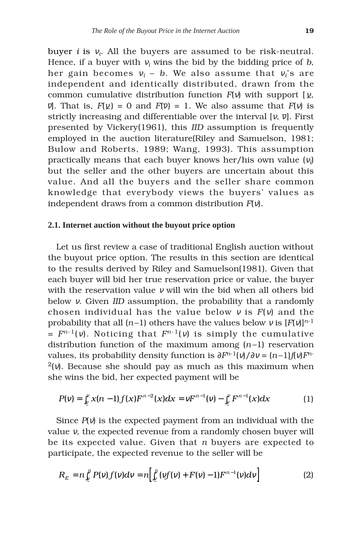buyer *i* is <sup>ν</sup>*i*. All the buyers are assumed to be risk-neutral. Hence, if a buyer with  $v_i$  wins the bid by the bidding price of  $b$ , her gain becomes  $v_i - b$ . We also assume that  $v_i$ 's are independent and identically distributed, drawn from the common cumulative distribution function  $F(v)$  with support  $[y,$ *v*]. That is,  $F(\nu) = 0$  and  $F(\overline{\nu}) = 1$ . We also assume that  $F(\nu)$  is strictly increasing and differentiable over the interval  $[\nu, \bar{\nu}]$ . First presented by Vickery(1961), this *IID* assumption is frequently employed in the auction literature(Riley and Samuelson, 1981; Bulow and Roberts, 1989; Wang, 1993). This assumption practically means that each buyer knows her/his own value (<sup>ν</sup>*<sup>i</sup>* ) but the seller and the other buyers are uncertain about this value. And all the buyers and the seller share common knowledge that everybody views the buyers' values as independent draws from a common distribution *F*(ν).

#### **2.1. Internet auction without the buyout price option**

Let us first review a case of traditional English auction without the buyout price option. The results in this section are identical to the results derived by Riley and Samuelson(1981). Given that each buyer will bid her true reservation price or value, the buyer with the reservation value <sup>ν</sup> will win the bid when all others bid below ν. Given *IID* assumption, the probability that a randomly chosen individual has the value below <sup>ν</sup> is *F*(ν) and the probability that all  $(n-1)$  others have the values below v is  $[F(v)]^{n-1}$  $= F^{n-1}(v)$ . Noticing that  $F^{n-1}(v)$  is simply the cumulative distribution function of the maximum among  $(n-1)$  reservation values, its probability density function is  $\partial F^{n-1}(v)/\partial v = (n-1)f(v)F^{n-1}(v)$ <sup>2</sup>(ν). Because she should pay as much as this maximum when she wins the bid, her expected payment will be

$$
P(v) = \int_{\underline{v}}^v x(n-1) f(x) F^{n-2}(x) dx = v F^{n-1}(v) - \int_{\underline{v}}^v F^{n-1}(x) dx \tag{1}
$$

Since *P*(ν) is the expected payment from an individual with the value ν, the expected revenue from a randomly chosen buyer will be its expected value. Given that *n* buyers are expected to participate, the expected revenue to the seller will be

$$
R_E = n \int_{\underline{v}}^{\overline{v}} P(v) f(v) dv = n \Big[ \int_{\underline{v}}^{\overline{v}} (vf(v) + F(v) - 1) F^{n-1}(v) dv \Big] \tag{2}
$$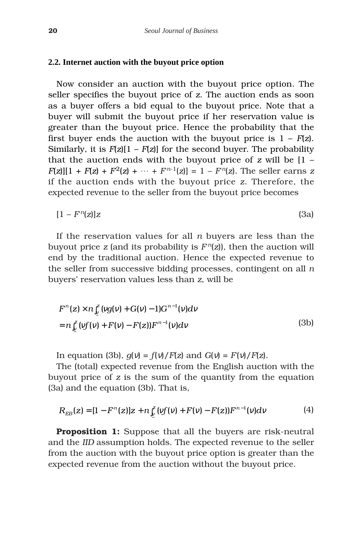#### **2.2. Internet auction with the buyout price option**

Now consider an auction with the buyout price option. The seller specifies the buyout price of *z*. The auction ends as soon as a buyer offers a bid equal to the buyout price. Note that a buyer will submit the buyout price if her reservation value is greater than the buyout price. Hence the probability that the first buyer ends the auction with the buyout price is  $1 - F(z)$ . Similarly, it is *F*(*z*)[1 – *F*(*z*)] for the second buyer. The probability that the auction ends with the buyout price of *z* will be [1 –  $F(z)[1 + F(z) + F^2(z) + \cdots + F^{n-1}(z)] = 1 - F^n(z)$ . The seller earns *z* if the auction ends with the buyout price *z*. Therefore, the expected revenue to the seller from the buyout price becomes

$$
[1 - Fn(z)]z \tag{3a}
$$

If the reservation values for all *n* buyers are less than the buyout price *z* (and its probability is  $F<sup>n</sup>(z)$ ), then the auction will end by the traditional auction. Hence the expected revenue to the seller from successive bidding processes, contingent on all *n* buyers' reservation values less than *z*, will be

$$
F^{n}(z) \times n \int_{\underline{v}}^{z} (v g(v) + G(v) - 1) G^{n-1}(v) dv
$$
  
=  $n \int_{\underline{v}}^{z} (v f(v) + F(v) - F(z)) F^{n-1}(v) dv$  (3b)

In equation (3b),  $q(v) = f(v)/F(z)$  and  $G(v) = F(v)/F(z)$ .

The (total) expected revenue from the English auction with the buyout price of *z* is the sum of the quantity from the equation (3a) and the equation (3b). That is,

$$
R_{EB}(z) = [1 - F^{n}(z)]z + n\int_{V}^{z} (vf(v) + F(v) - F(z))F^{n-1}(v)dv
$$
 (4)

**Proposition 1:** Suppose that all the buyers are risk-neutral and the *IID* assumption holds. The expected revenue to the seller from the auction with the buyout price option is greater than the expected revenue from the auction without the buyout price.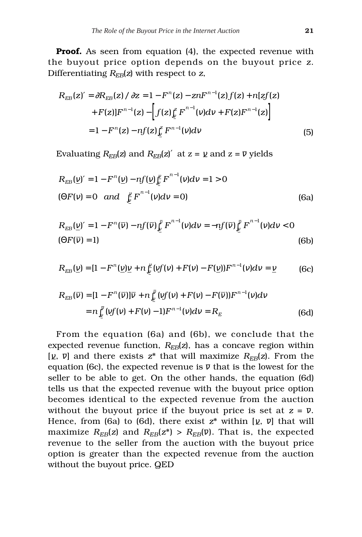**Proof.** As seen from equation (4), the expected revenue with the buyout price option depends on the buyout price *z*. Differentiating *REB*(*z*) with respect to *z*,

$$
R_{EB}(z)' = \partial R_{EB}(z) / \partial z = 1 - F^{n}(z) - znF^{n-1}(z)f(z) + n[zf(z)] + F(z)]F^{n-1}(z) - \left[f(z)\right]_{y}^{z} F^{n-1}(v)dv + F(z)F^{n-1}(z)\right]
$$
  
= 1 - F^{n}(z) - nf(z)\int\_{y}^{z} F^{n-1}(v)dv \tag{5}

Evaluating  $R_{EB}(z)$  and  $R_{EB}(z)^{'}$  at  $z = \gamma$  and  $z = \overline{\nu}$  yields

$$
R_{EB}(\underline{v})' = 1 - F^{n}(\underline{v}) - nf(\underline{v})\underline{v}^{V} F^{n-1}(v)dv = 1 > 0
$$
  
( $\Theta F(v) = 0$  and  $\underline{v}^{V} F^{n-1}(v)dv = 0$ ) (6a)

$$
R_{EB}(\underline{v})'=1-F^n(\overline{v})-nf(\overline{v})\int_{\underline{v}}^{\overline{v}}F^{n-1}(v)dv=-nf(\overline{v})\int_{\underline{v}}^{\overline{v}}F^{n-1}(v)dv<0
$$
\n(6b)

$$
R_{EB}(\underline{v}) = [1 - F^n(\underline{v})\underline{v} + n]_{\underline{v}}^{\underline{v}}(vf(v) + F(v) - F(\underline{v}))F^{n-1}(v)dv = \underline{v}
$$
 (6c)

$$
R_{EB}(\overline{v}) = [1 - F^{n}(\overline{v})]\overline{v} + n\int_{\underline{v}}^{\overline{v}} (vf(v) + F(v) - F(\overline{v}))F^{n-1}(v)dv
$$
  
=  $n\int_{\underline{v}}^{\overline{v}} (vf(v) + F(v) - 1)F^{n-1}(v)dv = R_{E}$  (6d)

From the equation (6a) and (6b), we conclude that the expected revenue function,  $R_{EB}(z)$ , has a concave region within [ $\chi$ ,  $\bar{v}$ ] and there exists  $z^*$  that will maximize  $R_{EB}(z)$ . From the equation (6c), the expected revenue is  $\bar{v}$  that is the lowest for the seller to be able to get. On the other hands, the equation (6d) tells us that the expected revenue with the buyout price option becomes identical to the expected revenue from the auction without the buyout price if the buyout price is set at  $z = \overline{v}$ . Hence, from (6a) to (6d), there exist  $z^*$  within  $[\nu, \bar{\nu}]$  that will maximize  $R_{EB}(z)$  and  $R_{EB}(z^*)$  >  $R_{EB}(\overline{v})$ . That is, the expected revenue to the seller from the auction with the buyout price option is greater than the expected revenue from the auction without the buyout price. QED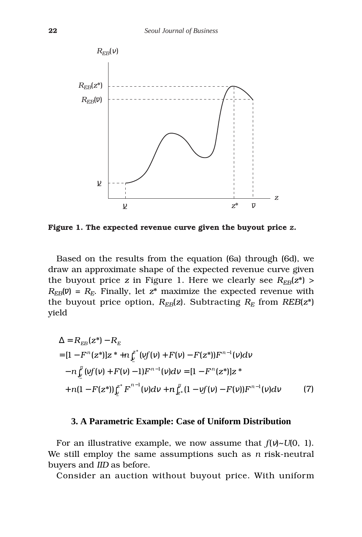

**Figure 1. The expected revenue curve given the buyout price** *z.*

Based on the results from the equation (6a) through (6d), we draw an approximate shape of the expected revenue curve given the buyout price *z* in Figure 1. Here we clearly see  $R_{FB}(z^*)$  >  $R_{EB}(\overline{v}) = R_E$ . Finally, let  $z^*$  maximize the expected revenue with the buyout price option,  $R_{EB}(z)$ . Subtracting  $R_E$  from  $REB(z^*)$ yield

$$
\Delta = R_{EB}(z^*) - R_E
$$
  
=  $[1 - F^n(z^*)]z^* + n\int_z^{z^*} (vf(v) + F(v) - F(z^*))F^{n-1}(v)dv$   
 $- n\int_y^{\bar{v}} (vf(v) + F(v) - 1)F^{n-1}(v)dv = [1 - F^n(z^*)]z^*$   
 $+ n(1 - F(z^*))\int_y^{z^*} F^{n-1}(v)dv + n\int_{z^*}^{\bar{v}} (1 - vf(v) - F(v))F^{n-1}(v)dv$  (7)

#### **3. A Parametric Example: Case of Uniform Distribution**

For an illustrative example, we now assume that *f*(ν)~*U*(0, 1). We still employ the same assumptions such as *n* risk-neutral buyers and *IID* as before.

Consider an auction without buyout price. With uniform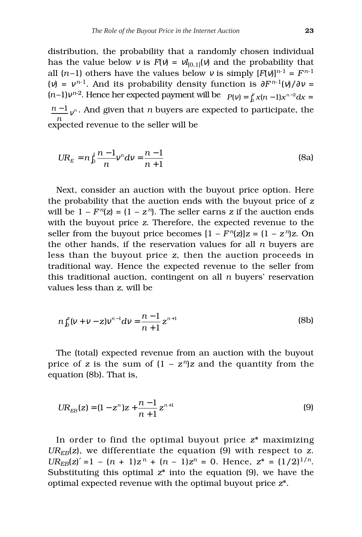distribution, the probability that a randomly chosen individual has the value below  $v$  is  $F(v) = vI_{[0,1]}(v)$  and the probability that all  $(n-1)$  others have the values below v is simply  $[F(v)]^{n-1} = F^{n-1}$ (*v*) =  $v^{n-1}$ . And its probability density function is  $\frac{\partial F^{n-1}(v)}{\partial v}$  =  $(n-1)v^{n-2}$ . Hence her expected payment will be  $P(v) = \int_0^v x(n-1)x^{n-2}dx =$  $\frac{n-1}{\nu^n}$ . And given that *n* buyers are expected to participate, the expected revenue to the seller will be *n*

$$
UR_E = n \int_0^1 \frac{n-1}{n} v^n dv = \frac{n-1}{n+1}
$$
 (8a)

Next, consider an auction with the buyout price option. Here the probability that the auction ends with the buyout price of *z* will be  $1 - F^{n}(z) = (1 - z^{n})$ . The seller earns *z* if the auction ends with the buyout price *z*. Therefore, the expected revenue to the seller from the buyout price becomes  $[1 - F<sup>n</sup>(z)]z = (1 - z<sup>n</sup>)z$ . On the other hands, if the reservation values for all *n* buyers are less than the buyout price *z*, then the auction proceeds in traditional way. Hence the expected revenue to the seller from this traditional auction, contingent on all *n* buyers' reservation values less than *z*, will be

$$
n\int_0^z (v+v-z)v^{n-1}dv = \frac{n-1}{n+1}z^{n+1}
$$
 (8b)

The (total) expected revenue from an auction with the buyout price of *z* is the sum of  $(1 - z^n)z$  and the quantity from the equation (8b). That is,

$$
UR_{EB}(z) = (1 - z^n)z + \frac{n-1}{n+1}z^{n+1}
$$
\n(9)

In order to find the optimal buyout price *z*\* maximizing  $UR_{EB}(z)$ , we differentiate the equation (9) with respect to *z*.  $UR_{EB}(z)' = 1 - (n + 1)z^{n} + (n - 1)z^{n} = 0$ . Hence,  $z^{*} = (1/2)^{1/n}$ . Substituting this optimal *z*\* into the equation (9), we have the optimal expected revenue with the optimal buyout price *z*\*.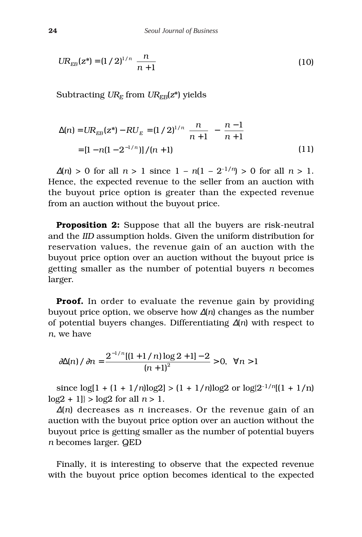$$
UR_{EB}(z^*) = (1/2)^{1/n} \left[ \frac{n}{n+1} \right]
$$
 (10)

Subtracting  $UR_E$  from  $UR_{EB}(z^*)$  yields

$$
\Delta(n) = UR_{EB}(z^*) - RU_E = (1/2)^{1/n} \left[ \frac{n}{n+1} \right] - \left[ \frac{n-1}{n+1} \right]
$$

$$
= [1 - n(1 - 2^{-1/n})] / (n+1)
$$
(11)

 $\Delta(n) > 0$  for all  $n > 1$  since  $1 - n(1 - 2^{-1/n}) > 0$  for all  $n > 1$ . Hence, the expected revenue to the seller from an auction with the buyout price option is greater than the expected revenue from an auction without the buyout price.

**Proposition 2:** Suppose that all the buyers are risk-neutral and the *IID* assumption holds. Given the uniform distribution for reservation values, the revenue gain of an auction with the buyout price option over an auction without the buyout price is getting smaller as the number of potential buyers *n* becomes larger.

**Proof.** In order to evaluate the revenue gain by providing buyout price option, we observe how ∆(*n*) changes as the number of potential buyers changes. Differentiating ∆(*n*) with respect to *n*, we have

$$
\frac{\partial \Delta(n)}{\partial n} = \frac{2^{-1/n}[(1+1/n)\log 2 + 1] - 2}{(n+1)^2} > 0, \quad \forall n > 1
$$

since  $\log[1 + (1 + 1/n)\log 2] > (1 + 1/n)\log 2$  or  $\log[2^{-1/n}[(1 + 1/n)]$  $log2 + 1$ } >  $log2$  for all  $n > 1$ .

<sup>∆</sup>(*n*) decreases as *n* increases. Or the revenue gain of an auction with the buyout price option over an auction without the buyout price is getting smaller as the number of potential buyers *n* becomes larger. QED

Finally, it is interesting to observe that the expected revenue with the buyout price option becomes identical to the expected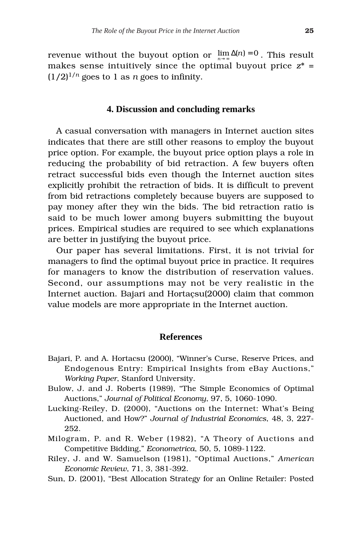revenue without the buyout option or  $\lim_{n\to\infty}\Delta(n)=0$  . This result makes sense intuitively since the optimal buyout price *z*\* =  $(1/2)^{1/n}$  goes to 1 as *n* goes to infinity.

### **4. Discussion and concluding remarks**

A casual conversation with managers in Internet auction sites indicates that there are still other reasons to employ the buyout price option. For example, the buyout price option plays a role in reducing the probability of bid retraction. A few buyers often retract successful bids even though the Internet auction sites explicitly prohibit the retraction of bids. It is difficult to prevent from bid retractions completely because buyers are supposed to pay money after they win the bids. The bid retraction ratio is said to be much lower among buyers submitting the buyout prices. Empirical studies are required to see which explanations are better in justifying the buyout price.

Our paper has several limitations. First, it is not trivial for managers to find the optimal buyout price in practice. It requires for managers to know the distribution of reservation values. Second, our assumptions may not be very realistic in the Internet auction. Bajari and Hortaçsu(2000) claim that common value models are more appropriate in the Internet auction.

#### **References**

- Bajari, P. and A. Hortacsu (2000), "Winner's Curse, Reserve Prices, and Endogenous Entry: Empirical Insights from eBay Auctions," *Working Paper*, Stanford University.
- Bulow, J. and J. Roberts (1989), "The Simple Economics of Optimal Auctions," *Journal of Political Economy*, 97, 5, 1060-1090.
- Lucking-Reiley, D. (2000), "Auctions on the Internet: What's Being Auctioned, and How?" *Journal of Industrial Economics*, 48, 3, 227- 252.
- Milogram, P. and R. Weber (1982), "A Theory of Auctions and Competitive Bidding," *Econometrica*, 50, 5, 1089-1122.
- Riley, J. and W. Samuelson (1981), "Optimal Auctions," *American Economic Review*, 71, 3, 381-392.
- Sun, D. (2001), "Best Allocation Strategy for an Online Retailer: Posted